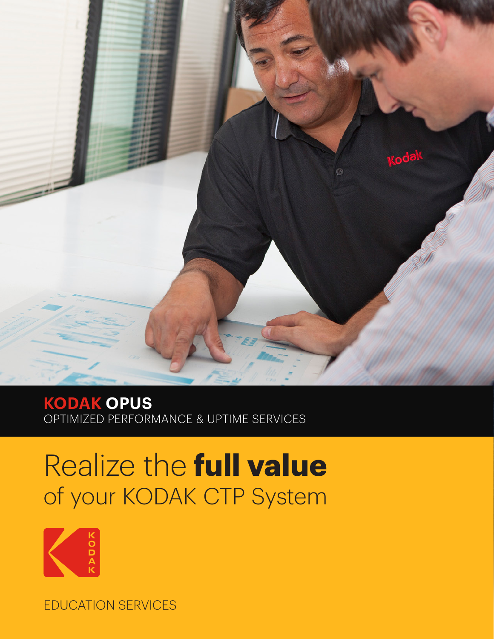

**KODAK OPUS** OPTIMIZED PERFORMANCE & UPTIME SERVICES

## Realize the **full value** of your KODAK CTP System



EDUCATION SERVICES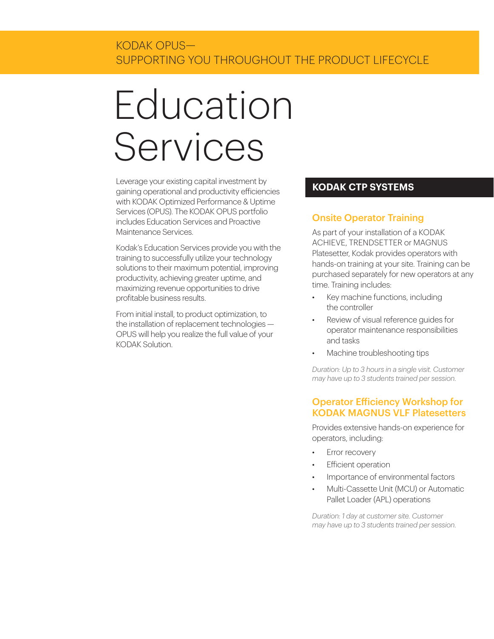# Education Services

Leverage your existing capital investment by gaining operational and productivity efficiencies with KODAK Optimized Performance & Uptime Services (OPUS). The KODAK OPUS portfolio includes Education Services and Proactive Maintenance Services.

Kodak's Education Services provide you with the training to successfully utilize your technology solutions to their maximum potential, improving productivity, achieving greater uptime, and maximizing revenue opportunities to drive profitable business results.

From initial install, to product optimization, to the installation of replacement technologies — OPUS will help you realize the full value of your KODAK Solution.

### **KODAK CTP SYSTEMS**

### Onsite Operator Training

As part of your installation of a KODAK ACHIEVE, TRENDSETTER or MAGNUS Platesetter, Kodak provides operators with hands-on training at your site. Training can be purchased separately for new operators at any time. Training includes:

- Key machine functions, including the controller
- Review of visual reference guides for operator maintenance responsibilities and tasks
- Machine troubleshooting tips

*Duration: Up to 3 hours in a single visit. Customer may have up to 3 students trained per session.*

#### Operator Efficiency Workshop for KODAK MAGNUS VLF Platesetters

Provides extensive hands-on experience for operators, including:

- Error recovery
- Efficient operation
- Importance of environmental factors
- Multi-Cassette Unit (MCU) or Automatic Pallet Loader (APL) operations

*Duration: 1 day at customer site. Customer may have up to 3 students trained per session.*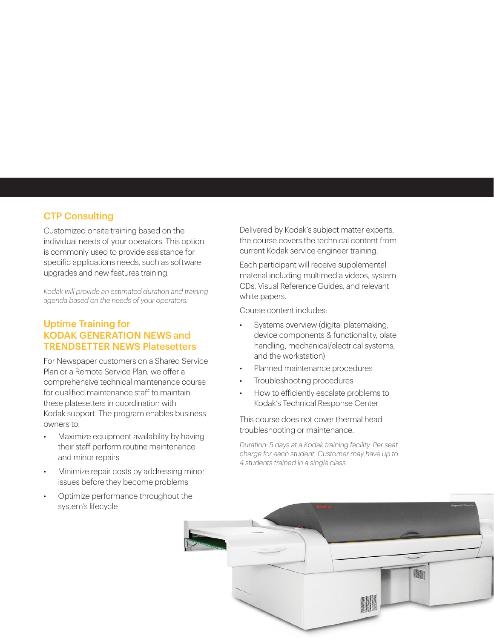#### CTP Consulting

Customized onsite training based on the individual needs of your operators. This option is commonly used to provide assistance for specific applications needs, such as software upgrades and new features training.

*Kodak will provide an estimated duration and training agenda based on the needs of your operators.*

#### Uptime Training for KODAK GENERATION NEWS and TRENDSETTER NEWS Platesetters

For Newspaper customers on a Shared Service Plan or a Remote Service Plan, we offer a comprehensive technical maintenance course for qualified maintenance staff to maintain these platesetters in coordination with Kodak support. The program enables business owners to:

- Maximize equipment availability by having their staff perform routine maintenance and minor repairs
- Minimize repair costs by addressing minor issues before they become problems
- Optimize performance throughout the system's lifecycle

Delivered by Kodak's subject matter experts, the course covers the technical content from current Kodak service engineer training.

Each participant will receive supplemental material including multimedia videos, system CDs, Visual Reference Guides, and relevant white papers.

Course content includes:

- Systems overview (digital platemaking, device components & functionality, plate handling, mechanical/electrical systems, and the workstation)
- Planned maintenance procedures
- Troubleshooting procedures
- How to efficiently escalate problems to Kodak's Technical Response Center

This course does not cover thermal head troubleshooting or maintenance.

*Duration: 5 days at a Kodak training facility. Per seat charge for each student. Customer may have up to 4 students trained in a single class.*